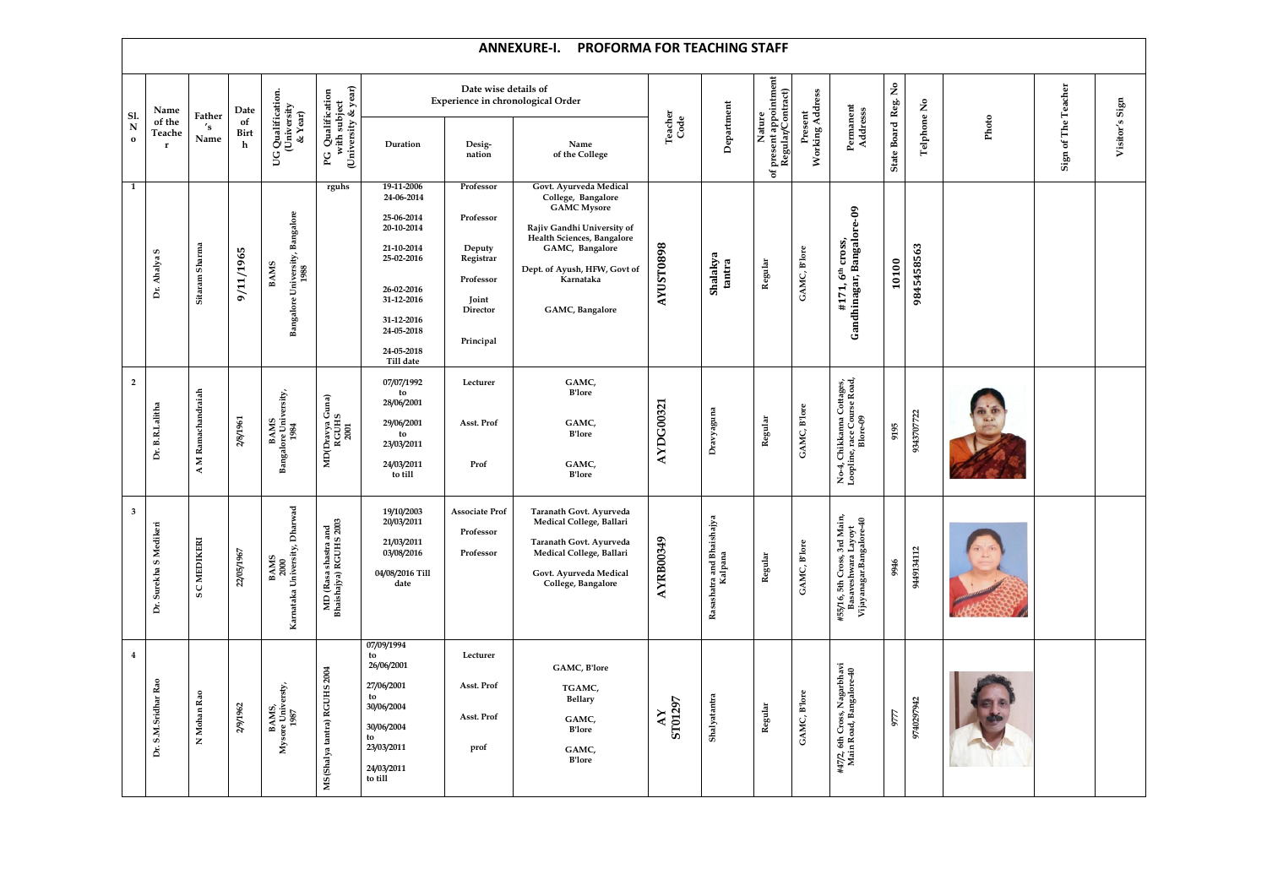|                         |                        |                        |                            |                                                        |                                                |                                                                                                                                          |                                                                                              | <b>ANNEXURE-I.</b><br><b>PROFORMA FOR TEACHING STAFF</b>                                                                                                                                                          |                                           |                                      |                                          |                                                                                       |                     |             |       |                               |                |
|-------------------------|------------------------|------------------------|----------------------------|--------------------------------------------------------|------------------------------------------------|------------------------------------------------------------------------------------------------------------------------------------------|----------------------------------------------------------------------------------------------|-------------------------------------------------------------------------------------------------------------------------------------------------------------------------------------------------------------------|-------------------------------------------|--------------------------------------|------------------------------------------|---------------------------------------------------------------------------------------|---------------------|-------------|-------|-------------------------------|----------------|
| Sl.                     | Name<br>of the         | Father                 | Date<br>of                 | G Qualification.<br>(University<br>& Year)             | & year)<br>Qualification                       |                                                                                                                                          | Date wise details of                                                                         | <b>Experience in chronological Order</b>                                                                                                                                                                          |                                           |                                      | present appointment<br>Regular/Contract) |                                                                                       |                     |             |       | Teacher                       |                |
| $\mathbf N$<br>$\bf{0}$ | Teache<br>- r          | 's<br>Name             | <b>Birt</b><br>$\mathbf h$ | <b>SC</b>                                              | with subject<br>(University<br>$_{\rm PG}$     | Duration                                                                                                                                 | Desig-<br>nation                                                                             | Name<br>of the College                                                                                                                                                                                            | Teacher<br>Code                           | Department                           | Nature<br>$\mathfrak{b}$                 | Present<br>Working Address<br>Permanent<br>Address                                    | State Board Reg. No | Telphone No | Photo | The<br>$\mathfrak{b}$<br>Sign | Visitor's Sign |
| $\mathbf{1}$            | S<br>Dr. Ahalya        | Sitaram Sharma         | 9/11/1965                  | Bangalore University, Bangalore<br>1988<br><b>BAMS</b> | rguhs                                          | 19-11-2006<br>24-06-2014<br>25-06-2014<br>20-10-2014<br>21-10-2014<br>25-02-2016<br>26-02-2016<br>31-12-2016<br>31-12-2016<br>24-05-2018 | Professor<br>Professor<br>Deputy<br>Registrar<br>Professor<br>Joint<br>Director<br>Principal | Govt. Ayurveda Medical<br>College, Bangalore<br><b>GAMC</b> Mysore<br>Rajiv Gandhi University of<br>Health Sciences, Bangalore<br>GAMC, Bangalore<br>Dept. of Ayush, HFW, Govt of<br>Karnataka<br>GAMC, Bangalore | <b>8680LSNA</b>                           | Shalakya<br>tantra                   | GAMC, B'lore<br>Regular                  | Gandhinagar, Bangalore-09<br>cross,<br>#171,6 <sup>th</sup>                           | 10100               | 9845458563  |       |                               |                |
| $\overline{2}$          | Dr. B.R.Lalitha        | A M Ramachandraiah     | 2/8/1961                   | Bangalore University,<br>Bangalore University,         | MD(Dravya Guna)<br>RGUHS<br>2001               | 24-05-2018<br>Till date<br>07/07/1992<br>to<br>28/06/2001<br>29/06/2001<br>to<br>23/03/2011<br>24/03/2011<br>to till                     | Lecturer<br>Asst. Prof<br>Prof                                                               | GAMC,<br><b>B'lore</b><br>GAMC,<br><b>B'lore</b><br>GAMC,<br><b>B'lore</b>                                                                                                                                        | AYDG00321                                 | Dravyaguna                           | GAMC, B'lore<br>Regular                  | , Chikkama Cottages,<br>line, race Course Road,<br>Blore-09<br>No-4, Chi<br>Loopline, | 9195                | 9343707722  |       |                               |                |
| $3^{\circ}$             | Dr. Surekha S Medikeri | <b>C MEDIKERI</b><br>S | 22/05/1967                 | BAMS<br>2000<br>Karnataka University, Dharwad          | MD (Rasa shastra and<br>Bhaishajya) RGUHS 2003 | 19/10/2003<br>20/03/2011<br>21/03/2011<br>03/08/2016<br>04/08/2016 Till<br>date                                                          | <b>Associate Prof</b><br>Professor<br>Professor                                              | Taranath Govt. Ayurveda<br>Medical College, Ballari<br>Taranath Govt. Ayurveda<br>Medical College, Ballari<br>Govt. Ayurveda Medical<br>College, Bangalore                                                        | <b>AYRB00349</b>                          | Rasashatra and Bhaishajya<br>Kalpana | GAMC, Blore<br>Regular                   | #55/16, 5th Cross, 3rd Main,<br>Basaveshwara Layoyt<br>Vijayanagar.Bangalore-40       | 946                 | 9449134112  |       |                               |                |
| $\overline{\mathbf{4}}$ | Dr. S.M.Sridhar Rao    | N Mohan Rao            | 2/9/1962                   | BAMS,<br>Mysore Universty,<br>1987                     | MS(Shalya tantra) RGUHS 2004                   | 07/09/1994<br>to<br>26/06/2001<br>27/06/2001<br>to<br>30/06/2004<br>30/06/2004<br>tο<br>23/03/2011<br>24/03/2011<br>to till              | Lecturer<br>Asst. Prof<br>Asst. Prof<br>prof                                                 | GAMC, B'lore<br>TGAMC,<br><b>Bellary</b><br>GAMC,<br><b>B'lore</b><br>GAMC,<br><b>B'lore</b>                                                                                                                      | <b>ST01297</b><br>$\mathbf{X} \mathbf{V}$ | Shalyatantra                         | GAMC, B'lore<br>Regular                  | #47/2, 6th Cross, Nagarbhavi<br>Main Road, Bangalore-40                               | 9777                | 9740297942  |       |                               |                |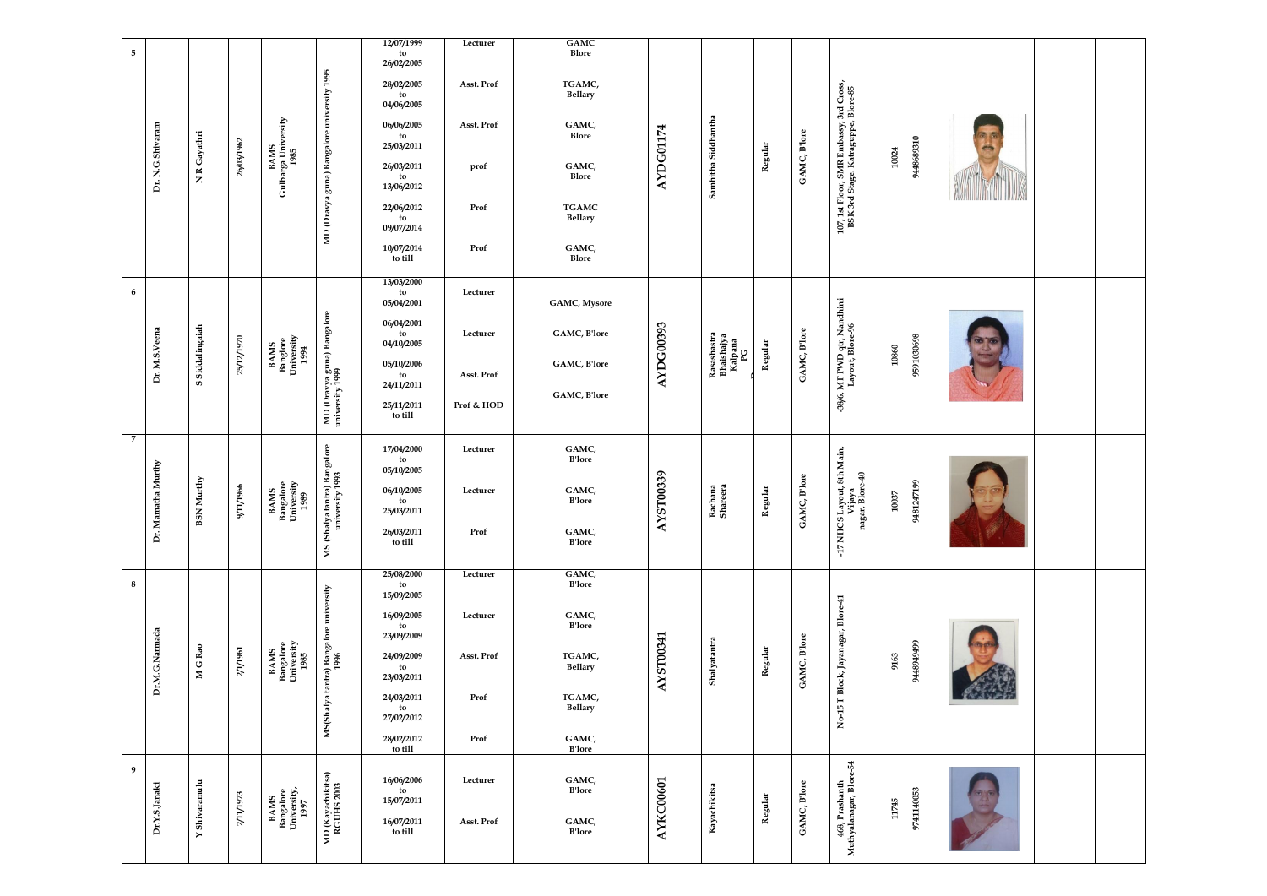| 5                  |                                      |                         |                                                    |                                                 | 12/07/1999<br>to<br>26/02/2005 | Lecturer   | GAMC<br>Blore                  |           |                                            |             |              |                                                                              |       |                 |                       |  |
|--------------------|--------------------------------------|-------------------------|----------------------------------------------------|-------------------------------------------------|--------------------------------|------------|--------------------------------|-----------|--------------------------------------------|-------------|--------------|------------------------------------------------------------------------------|-------|-----------------|-----------------------|--|
|                    |                                      |                         |                                                    | university 1995                                 | 28/02/2005<br>to<br>04/06/2005 | Asst. Prof | TGAMC,<br><b>Bellary</b>       |           |                                            |             |              |                                                                              |       |                 |                       |  |
|                    |                                      |                         |                                                    |                                                 | 06/06/2005<br>to<br>25/03/2011 | Asst. Prof | GAMC,<br>Blore                 |           |                                            |             |              |                                                                              |       |                 |                       |  |
| Dr. N.G.Shivaram   | NR Gayathri                          | 26/03/1962              | BAMS<br>Gulbarga University<br>1985                |                                                 | 26/03/2011<br>to<br>13/06/2012 | prof       | GAMC,<br>Blore                 | AYDG01174 | Samhitha Siddhantha                        | Regular     | GAMC, B'lore |                                                                              | 10024 | 0186898446      |                       |  |
|                    |                                      |                         |                                                    | MD (Dravya guna) Bangalore                      | 22/06/2012<br>to<br>09/07/2014 | Prof       | <b>TGAMC</b><br><b>Bellary</b> |           |                                            |             |              | 107, 1st Floor, SMR Embassy, 3rd Cross<br>BSK 3rd Stage. Kataguppe, Blore-85 |       |                 | <b>MARINE COMMAND</b> |  |
|                    |                                      |                         |                                                    |                                                 | 10/07/2014<br>to till          | Prof       | GAMC,<br>Blore                 |           |                                            |             |              |                                                                              |       |                 |                       |  |
| 6                  |                                      |                         |                                                    |                                                 | 13/03/2000<br>to<br>05/04/2001 | Lecturer   | <b>GAMC, Mysore</b>            |           |                                            |             |              |                                                                              |       |                 |                       |  |
|                    | Siddalingaiah                        |                         | <b>BAMS<br/>Banglore<br/>University<br/>1994</b>   | MD (Dravya guna) Bangalore<br>university 1999   | 06/04/2001<br>to<br>04/10/2005 | Lecturer   | GAMC, B'lore                   | AYDG00393 | Rasashastra<br>Bhaishajya<br>Kalpana<br>PG | Regular     | GAMC, Blore  | MF PWD qtr, Nandhini<br>Layout, Blore-96                                     |       |                 |                       |  |
| Dr. M.S.Veena      | S                                    | 25/12/1970              |                                                    |                                                 | 05/10/2006<br>to<br>24/11/2011 | Asst. Prof | GAMC, B'lore<br>GAMC, B'lore   |           |                                            |             |              |                                                                              | 10860 | 9591030698      |                       |  |
|                    |                                      |                         |                                                    |                                                 | 25/11/2011<br>to till          | Prof & HOD |                                |           |                                            |             |              | -38/6,                                                                       |       |                 |                       |  |
| $\overline{7}$     |                                      |                         |                                                    |                                                 | 17/04/2000<br>to<br>05/10/2005 | Lecturer   | GAMC,<br><b>B'lore</b>         |           |                                            |             |              | yout, 8th Main,                                                              |       |                 |                       |  |
| Dr. Mamatha Murthy | Murthy<br>BSN                        | 1/1966<br>$\frac{1}{2}$ | <b>BAMS</b><br>Bangalore<br>University<br>1989     |                                                 | 06/10/2005<br>to<br>25/03/2011 | Lecturer   | GAMC,<br><b>B'lore</b>         | AYST00339 | Rachana<br>Shareera                        | gular<br>Re | $C,$ B'lore  | ijaya<br>, Blore-40                                                          | 10037 | 1247199<br>9481 |                       |  |
|                    |                                      |                         |                                                    | MS (Shalya tantra) Bangalore<br>university 1993 | 26/03/2011<br>to till          | Prof       | GAMC,<br><b>B'lore</b>         |           |                                            |             | GAM          | nagar,<br>÷h                                                                 |       |                 |                       |  |
| 8                  |                                      |                         |                                                    |                                                 | 25/08/2000<br>to<br>15/09/2005 | Lecturer   | GAMC,<br><b>B'lore</b>         |           |                                            |             |              |                                                                              |       |                 |                       |  |
|                    |                                      |                         |                                                    |                                                 | 16/09/2005<br>to<br>23/09/2009 | Lecturer   | GAMC,<br><b>B'lore</b>         |           |                                            |             |              |                                                                              |       |                 |                       |  |
| Dr.M.G.Narmada     | M G Rao                              | 2/1/1961                | <b>BAMS<br/>Bangalore<br/>University<br/>1985</b>  | MS(Shalya tantra) Bangalore university<br>1996  | 24/09/2009<br>to<br>23/03/2011 | Asst. Prof | TGAMC,<br><b>Bellary</b>       | AYST00341 | Shalyatantra                               | Regular     | GAMC, Blore  | No-15 T Block, Jayanagar, Blore-41                                           | 9163  | 6656568556      |                       |  |
|                    |                                      |                         |                                                    |                                                 | 24/03/2011<br>to<br>27/02/2012 | Prof       | TGAMC,<br><b>Bellary</b>       |           |                                            |             |              |                                                                              |       |                 |                       |  |
|                    |                                      |                         |                                                    |                                                 | 28/02/2012<br>to till          | Prof       | GAMC,<br><b>B'lore</b>         |           |                                            |             |              |                                                                              |       |                 |                       |  |
| 9                  |                                      |                         |                                                    |                                                 | 16/06/2006<br>to<br>15/07/2011 | Lecturer   | GAMC,<br><b>B'lore</b>         |           |                                            |             |              |                                                                              |       |                 |                       |  |
| Dr.Y.S.Janaki      | Shivaramulu<br>$\blacktriangleright$ | 2/11/1973               | <b>BAMS<br/>Bangalore<br/>University,<br/>1997</b> | MD (Kayachikitsa)<br>RGUHS 2003                 | 16/07/2011<br>to till          | Asst. Prof | GAMC,<br><b>B'lore</b>         | AYKC00601 | Kayachikitsa                               | Regular     | GAMC, B'lore | 468, Prashanth<br>Muthyalanagar, Blore-54                                    | 11745 | 9741140053      |                       |  |
|                    |                                      |                         |                                                    |                                                 |                                |            |                                |           |                                            |             |              |                                                                              |       |                 |                       |  |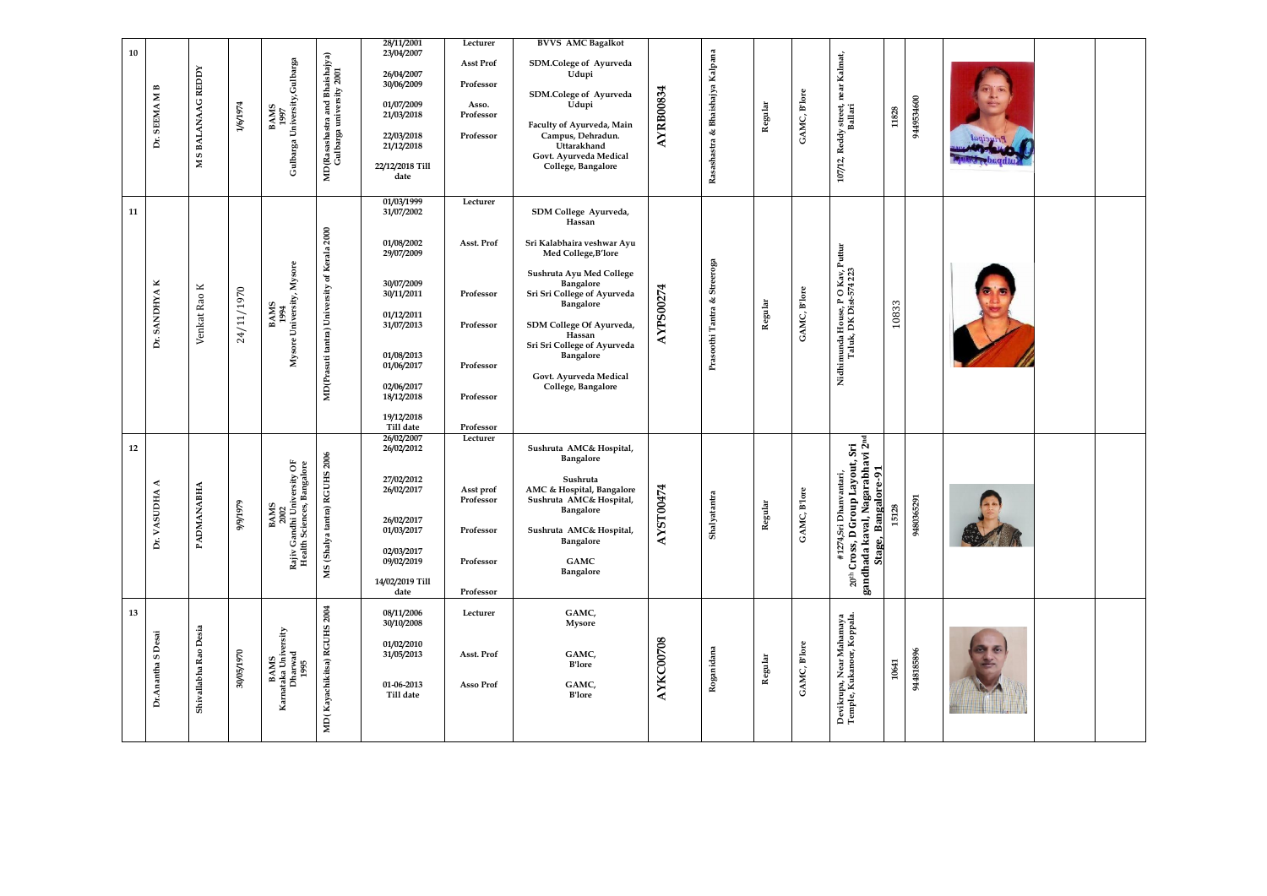| 10 | $\mathbf{M}\,\mathbf{B}$<br><b>SEEMA</b><br>È. | <b>S BALANAAG REDDY</b> | 1/6/1974   | University, Gulbarga<br><b>BAMS</b><br>1997                                                                       | MD(Rasashastra and Bhaishajya)<br>Gulbarga university 2001 | 28/11/2001<br>23/04/2007<br>26/04/2007<br>30/06/2009<br>01/07/2009<br>21/03/2018<br>22/03/2018<br>21/12/2018                                                                                    | Lecturer<br><b>Asst Prof</b><br>Professor<br>Asso.<br>Professor<br>Professor            | <b>BVVS AMC Bagalkot</b><br>SDM.Colege of Ayurveda<br>Udupi<br>SDM.Colege of Ayurveda<br>Udupi<br>Faculty of Ayurveda, Main<br>Campus, Dehradun.<br>Uttarakhand                                                                                                                                             | AYRB00834 | Bhaishajya Kalpana<br>B,           | Regular | GAMC, B'lore           | near Kalmat,<br>107/12, Reddy street,<br>Ballari<br>11828                                                                                                 | 9449534600 |  |
|----|------------------------------------------------|-------------------------|------------|-------------------------------------------------------------------------------------------------------------------|------------------------------------------------------------|-------------------------------------------------------------------------------------------------------------------------------------------------------------------------------------------------|-----------------------------------------------------------------------------------------|-------------------------------------------------------------------------------------------------------------------------------------------------------------------------------------------------------------------------------------------------------------------------------------------------------------|-----------|------------------------------------|---------|------------------------|-----------------------------------------------------------------------------------------------------------------------------------------------------------|------------|--|
|    |                                                | $\mathbf{z}$            |            | Gulbarga                                                                                                          |                                                            | 22/12/2018 Till<br>date                                                                                                                                                                         |                                                                                         | Govt. Ayurveda Medical<br>College, Bangalore                                                                                                                                                                                                                                                                |           | Rasashastra                        |         |                        |                                                                                                                                                           |            |  |
| 11 | ×<br><b>SANDHYA</b><br>Ď.                      | Venkat Rao K            | 24/11/1970 | University, Mysore<br><b>BAMS</b><br>1994<br>Mysore                                                               | of Kerala 2000<br>MD(Prasuti tantra) University            | 01/03/1999<br>31/07/2002<br>01/08/2002<br>29/07/2009<br>30/07/2009<br>30/11/2011<br>01/12/2011<br>31/07/2013<br>01/08/2013<br>01/06/2017<br>02/06/2017<br>18/12/2018<br>19/12/2018<br>Till date | Lecturer<br>Asst. Prof<br>Professor<br>Professor<br>Professor<br>Professor<br>Professor | SDM College Ayurveda,<br>Hassan<br>Sri Kalabhaira veshwar Ayu<br>Med College, B'lore<br>Sushruta Ayu Med College<br>Bangalore<br>Sri Sri College of Ayurveda<br>Bangalore<br>SDM College Of Ayurveda,<br>Hassan<br>Sri Sri College of Ayurveda<br>Bangalore<br>Govt. Ayurveda Medical<br>College, Bangalore | AYPS00274 | Streeroga<br>త<br>Prasoothi Tantra | Regular | GAMC, B'lore           | Puttur<br>Kav,<br>4 223<br>Nidhimunda House, PO<br>Taluk, DK Dist-57<br>10833                                                                             |            |  |
| 12 | ≺<br>DНА<br>VASU<br>Ď.                         | PADMANABHA              | 64616/6    | $i$ versity OF . Bangalore<br>$\dot{m}$<br>BAMS<br>2002<br>Candhi Univ<br>Ith Sciences, I<br>Rajiv Ga<br>Health S | MS (Shalya tantra) RGUHS 2006                              | 26/02/2007<br>26/02/2012<br>27/02/2012<br>26/02/2017<br>26/02/2017<br>01/03/2017<br>02/03/2017<br>09/02/2019<br>14/02/2019 Till<br>date                                                         | Lecturer<br>Asst prof<br>Professor<br>Professor<br>Professor<br>Professor               | Sushruta AMC& Hospital,<br><b>Bangalore</b><br>Sushruta<br>AMC & Hospital, Bangalore<br>Sushruta AMC& Hospital,<br>Bangalore<br>Sushruta AMC& Hospital,<br>Bangalore<br><b>GAMC</b><br><b>Bangalore</b>                                                                                                     | AYST00474 | Shalyatantra                       | Regular | <b>B'lore</b><br>GAMC, | 20 <sup>th</sup> Cross, D Group Layout, Sri<br>gandhada kaval, Nagarabhavi 2 <sup>nd</sup><br>Stage, Bangalore-91<br>anvantari,<br>15128<br>#1274, Sri Dh | 9480365291 |  |
| 13 | Desai<br>S<br>Dr.Anantha                       | Shivallabha Rao Desia   | 30/05/1970 | BAMS<br>Kamataka University<br>Dharwad<br>1995                                                                    | 2004<br>MD(Kayachikitsa) RGUHS                             | 08/11/2006<br>30/10/2008<br>01/02/2010<br>31/05/2013<br>01-06-2013<br>Till date                                                                                                                 | Lecturer<br>Asst. Prof<br>Asso Prof                                                     | GAMC,<br><b>Mysore</b><br>GAMC,<br><b>B'lore</b><br>GAMC,<br><b>B'lore</b>                                                                                                                                                                                                                                  | AYKC00708 | Roganidana                         | Regular | GAMC, Blore            | Devikrupa, Near Mahamaya<br>Temple, Kukanoor, Koppala.<br>10641                                                                                           | 9448185896 |  |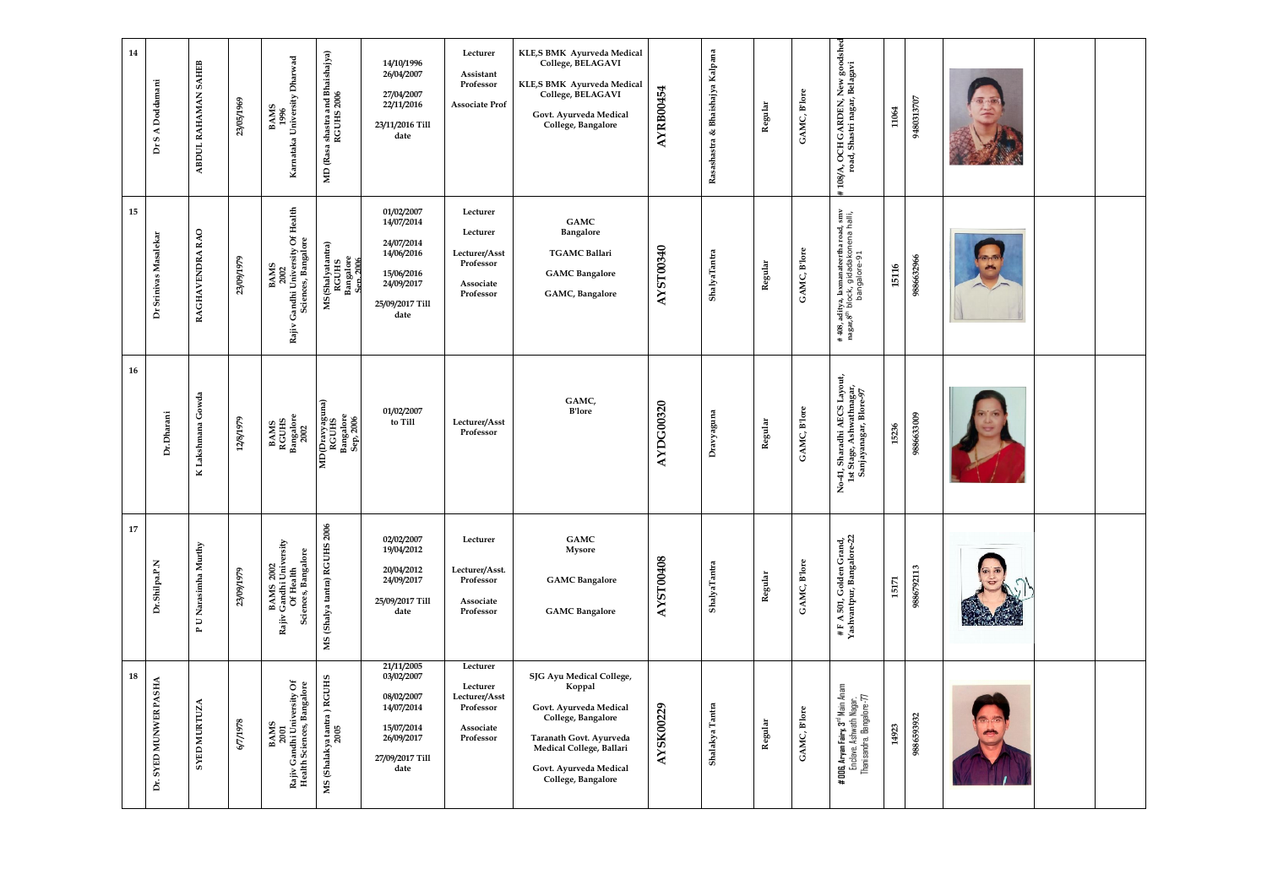| 14 | S A Doddamani<br>Ď    | <b>SAHEB</b><br>ABDUL RAHAMAN             | 23/05/1969 | BAMS<br>1996<br>Karnataka University Dharwad                                     | shastra and Bhaishajya)<br>RGUHS 2006<br>MD (Rasa   | 14/10/1996<br>26/04/2007<br>27/04/2007<br>22/11/2016<br>23/11/2016 Till<br>date                             | Lecturer<br>Assistant<br>Professor<br><b>Associate Prof</b>                  | KLE,S BMK Ayurveda Medical<br>College, BELAGAVI<br>KLE,S BMK Ayurveda Medical<br>College, BELAGAVI<br>Govt. Ayurveda Medical<br>College, Bangalore                                        | <b>AYRB00454</b> | Rasashastra & Bhaishajya Kalpana | Regular | GAMC, B'lore | , New goodshed<br>, Belagavi<br># 108/A, OCH GARDEN,<br>road, Shastri nagar,                                                               | 11064 | 9480313707 |  |  |
|----|-----------------------|-------------------------------------------|------------|----------------------------------------------------------------------------------|-----------------------------------------------------|-------------------------------------------------------------------------------------------------------------|------------------------------------------------------------------------------|-------------------------------------------------------------------------------------------------------------------------------------------------------------------------------------------|------------------|----------------------------------|---------|--------------|--------------------------------------------------------------------------------------------------------------------------------------------|-------|------------|--|--|
| 15 | Dr Srinivas Masalekar | RAGHAVENDRA RAO                           | 23/09/1979 | Of Health<br>Sciences, Bangalore<br>BAMS<br>2002<br>Candhi University (<br>Rajiv | MS(Shalyatantra)<br>RGUHS<br>Bangalore<br>Sen. 2006 | 01/02/2007<br>14/07/2014<br>24/07/2014<br>14/06/2016<br>15/06/2016<br>24/09/2017<br>25/09/2017 Till<br>date | Lecturer<br>Lecturer<br>Lecturer/Asst<br>Professor<br>Associate<br>Professor | GAMC<br>Bangalore<br><b>TGAMC Ballari</b><br><b>GAMC</b> Bangalore<br>GAMC, Bangalore                                                                                                     | AYST00340        | ShalyaTantra                     | Regular | GAMC, Blore  | # 408, aditya, laxmanateertha road, smv<br>nagar,8 <sup>th</sup> block, gidadakonena halli,<br>bangalore-91                                | 15116 | 9886632966 |  |  |
| 16 | Dr.Dharani            | K Lakshmana Gowda                         | 12/8/1979  | <b>BAMS<br/>RGUHS<br/>Bangalore</b><br>2002                                      | MD(Dravyaguna)<br>RGUHS<br>Bangalore<br>Sep, 2006   | 01/02/2007<br>to Till                                                                                       | Lecturer/Asst<br>Professor                                                   | GAMC,<br><b>B'lore</b>                                                                                                                                                                    | <b>AYDG00320</b> | Dravyaguna                       | Regular | GAMC, B'lore | No-41, Sharadhi AECS Layout,<br>1st Stage, Ashwathnagar,<br>Sanjayanagar, Blore-97                                                         | 15236 | 9886633009 |  |  |
| 17 | Dr.Shilpa.P.N         | <b>U</b> Narasimha Murthy<br>$\mathbf{r}$ | 23/09/1979 | BAMS 2002<br>Rajiv Gandhi University<br>Of Health<br>Sciences, Bangalore         | MS (Shalya tantra) RGUHS 2006                       | 02/02/2007<br>19/04/2012<br>20/04/2012<br>24/09/2017<br>25/09/2017 Till<br>date                             | Lecturer<br>Lecturer/Asst.<br>Professor<br>Associate<br>Professor            | GAMC<br><b>Mysore</b><br><b>GAMC</b> Bangalore<br><b>GAMC</b> Bangalore                                                                                                                   | <b>AYST00408</b> | ShalyaTantra                     | Regular | GAMC, Blore  | $\begin{array}{l} \# \; \mathbb{F} \; \mathbb{A} \; \mathbb{S}01, \, \text{Golden Grand}, \\ \text{Yashvantpur, Bangalore-22} \end{array}$ | 15171 | 9886792113 |  |  |
| 18 | Dr. SYED MUNWER PASHA | <b>SYED MURTUZA</b>                       | 8261/29    | 2001<br>Rajiv Gandhi University Of<br>Health Sciences, Bangalore<br><b>BAMS</b>  | MS (Shalakya tantra ) RGUHS<br>2005                 | 21/11/2005<br>03/02/2007<br>08/02/2007<br>14/07/2014<br>15/07/2014<br>26/09/2017<br>27/09/2017 Till<br>date | Lecturer<br>Lecturer<br>Lecturer/Asst<br>Professor<br>Associate<br>Professor | SJG Ayu Medical College,<br>Koppal<br>Govt. Ayurveda Medical<br>College, Bangalore<br>Taranath Govt. Ayurveda<br>Medical College, Ballari<br>Govt. Ayurveda Medical<br>College, Bangalore | AYSK00229        | Shalakya Tantra                  | Regular | GAMC, B'lore | # 006, Aryan Fairy, 3 <sup>rd</sup> Main Anam<br>Enclave, Ashwath Nagar,<br>Thanisandra, Bangalore-77                                      | 14923 | 9886593932 |  |  |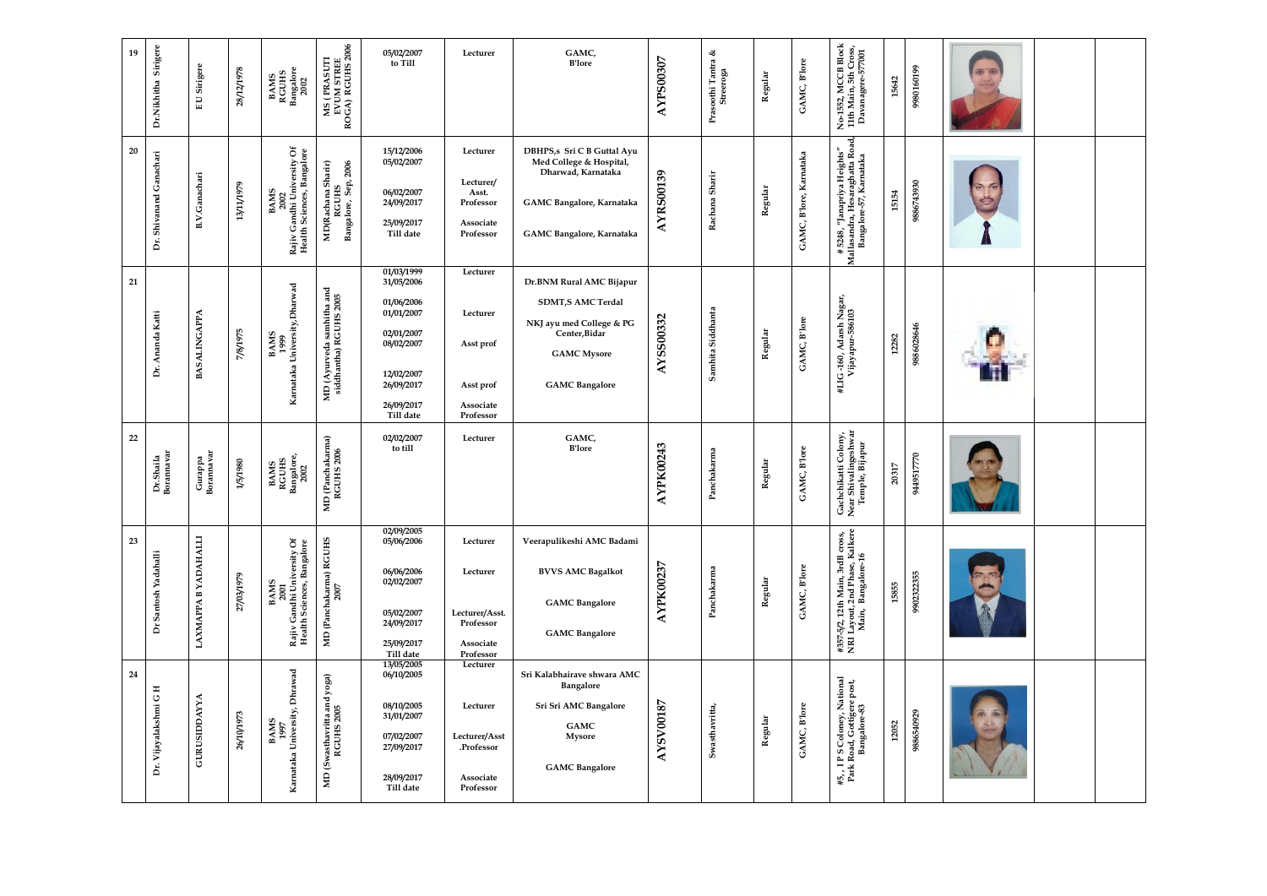| Sirigere<br>19<br>Dr.Nikhitha    | Sirigere<br>U<br>$\mathbf{u}$  | 28/12/1978 | <b>BAMS<br/>RGUHS<br/>Bangalore</b><br>2002                                     | MS ( PRASUTI<br>EVUM STREE<br>ROGA) RGUHS 2006      | 05/02/2007<br>to Till                                                                                                                   | Lecturer                                                                      | GAMC,<br><b>B'lore</b>                                                                                                                           | <b>AYPS00307</b> | ళ<br>Prasoothi Tantra é<br>Streeroga | Regular | GAMC, B'lore                      | No-1552, MCCB Block<br>11th Main, 5th Cross,<br>Davanagere-577001<br>15642                             | 9980160199 |  |  |
|----------------------------------|--------------------------------|------------|---------------------------------------------------------------------------------|-----------------------------------------------------|-----------------------------------------------------------------------------------------------------------------------------------------|-------------------------------------------------------------------------------|--------------------------------------------------------------------------------------------------------------------------------------------------|------------------|--------------------------------------|---------|-----------------------------------|--------------------------------------------------------------------------------------------------------|------------|--|--|
| 20<br>Shivanand Ganachari<br>Dr. | <b>B.V.Ganachari</b>           | 13/11/1979 | 2002<br>Rajiv Gandhi University Of<br>Health Sciences, Bangalore<br><b>BAMS</b> | MD(Rachana Sharir)<br>RGUHS<br>Bangalore, Sep, 2006 | 15/12/2006<br>05/02/2007<br>06/02/2007<br>24/09/2017<br>25/09/2017<br>Till date                                                         | Lecturer<br>Lecturer/<br>Asst.<br>Professor<br>Associate<br>Professor         | DBHPS,s Sri C B Guttal Ayu<br>Med College & Hospital,<br>Dharwad, Karnataka<br>GAMC Bangalore, Karnataka<br>GAMC Bangalore, Karnataka            | <b>AYRS00139</b> | Rachana Sharir                       | Regular | <b>B'lore, Karnataka</b><br>GAMC, | ਚੋ<br># 5248, "Janapriya Heights"<br>Mallasandra, Hesaraghatta Roa<br>Bangalore-57, Karnataka<br>15154 | 9886743930 |  |  |
| 21<br>Dr. Ananda Katti           | <b>BASALINGAPPA</b>            | 7/8/1975   | Karnataka University, Dharwad<br><b>BAMS</b><br>1999                            | MD (Ayurveda samhitha and<br>siddhantha) RGUHS 2005 | 01/03/1999<br>31/05/2006<br>01/06/2006<br>01/01/2007<br>02/01/2007<br>08/02/2007<br>12/02/2007<br>26/09/2017<br>26/09/2017<br>Till date | Lecturer<br>Lecturer<br>Asst prof<br>Asst prof<br>Associate<br>Professor      | Dr.BNM Rural AMC Bijapur<br><b>SDMT,S AMC Terdal</b><br>NKJ ayu med College & PG<br>Center, Bidar<br><b>GAMC</b> Mysore<br><b>GAMC</b> Bangalore | <b>AYSS00332</b> | Samhita Siddhanta                    | Regular | GAMC, B'lore                      | #LIG-160, Adarsh Nagar,<br>Vijayapur-586103<br>12282                                                   | 9886028646 |  |  |
| 22<br>Dr.Shaila<br>Borannavar    | Gurappa<br>Borannavar          | 1/5/1980   | <b>BAMS<br/>RGUHS<br/>Bangalore,<br/>2002</b>                                   | MD (Panchakarma)<br>RGUHS 2006                      | 02/02/2007<br>to till                                                                                                                   | Lecturer                                                                      | GAMC,<br><b>B'lore</b>                                                                                                                           | <b>AYPK00243</b> | Panchakarma                          | Regular | GAMC, Blore                       | Gachchikatti Colony,<br>Near Shivalingeshwar<br>Temple, Bijapur<br>20317                               | 9449517770 |  |  |
| 23<br>Dr Santosh Yadahalli       | YADAHALLI<br><b>LAXMAPPA B</b> | 27/03/1979 | BAMS<br>2001<br>Rajiv Gandhi University Of<br>Health Sciences, Bangalore        | MD (Panchakarma) RGUHS<br>2007                      | 02/09/2005<br>05/06/2006<br>06/06/2006<br>02/02/2007<br>05/02/2007<br>24/09/2017<br>25/09/2017<br>Till date                             | Lecturer<br>Lecturer<br>Lecturer/Asst.<br>Professor<br>Associate<br>Professor | Veerapulikeshi AMC Badami<br><b>BVVS AMC Bagalkot</b><br><b>GAMC</b> Bangalore<br><b>GAMC</b> Bangalore                                          | <b>AYPK00237</b> | Panchakarma                          | Regular | GAMC, B'lore                      | #357-5/2, 12th Main, 3rdB cross,<br>NRI Layout, 2nd Phase, Kalkere<br>Main,  Bangalore-16<br>15855     | 9902322355 |  |  |
| 24<br>Dr. Vijayalakshmi G H      | <b>GURUSIDDAYYA</b>            | 26/10/1973 | BAMS<br>1997<br>Kamataka University, Dhrawad                                    | MD (Swasthavritta and yoga)<br>RGUHS 2005           | 13/05/2005<br>06/10/2005<br>08/10/2005<br>31/01/2007<br>07/02/2007<br>27/09/2017<br>28/09/2017<br>Till date                             | Lecturer<br>Lecturer<br>Lecturer/Asst<br>.Professor<br>Associate<br>Professor | Sri Kalabhairave shwara AMC<br>Bangalore<br>Sri Sri AMC Bangalore<br>GAMC<br><b>Mysore</b><br><b>GAMC</b> Bangalore                              | <b>AYSV00187</b> | Swasthavritta,                       | Regular | GAMC, B'lore                      | #5, , 1 P S Coloney, National<br>Park Road, Gottigere post,<br>Bangalore-83<br>12052                   | 9886540929 |  |  |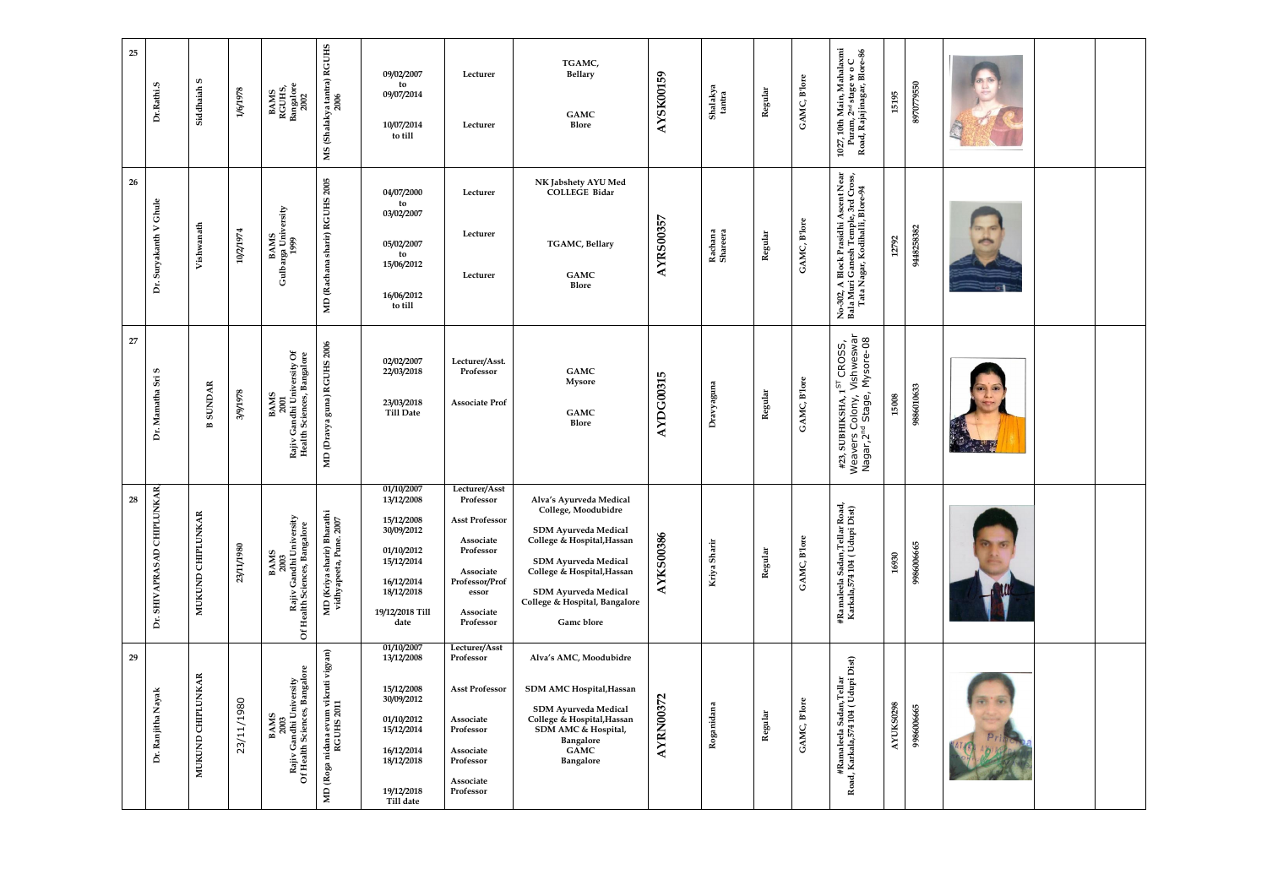| 25<br>Dr.Rathi.S                  | S<br>Siddhaiah                  | 1/6/1978   | BAMS<br>RGUHS,<br>Bangalore<br>2002                                                            | MS (Shalakya tantra) RGUHS<br>2006                    | 09/02/2007<br>to<br>09/07/2014<br>10/07/2014<br>to till                                                                                 | Lecturer<br>Lecturer                                                                                                                            | TGAMC,<br><b>Bellary</b><br><b>GAMC</b><br><b>Blore</b>                                                                                                                                                                                         | AYSK00159        | Shalakya<br>tantra  | Regular | GAMC, B'lore | 1027, 10th Main, Mahalaxmi $\rm{Puram},$<br>$\rm{Puram},$ $\rm{Z}^{\rm nd}$ stage w o $\rm{C}$ Road, Rajajin<br>agar, Blore-86 | 15195            | 8970779550 |  |
|-----------------------------------|---------------------------------|------------|------------------------------------------------------------------------------------------------|-------------------------------------------------------|-----------------------------------------------------------------------------------------------------------------------------------------|-------------------------------------------------------------------------------------------------------------------------------------------------|-------------------------------------------------------------------------------------------------------------------------------------------------------------------------------------------------------------------------------------------------|------------------|---------------------|---------|--------------|--------------------------------------------------------------------------------------------------------------------------------|------------------|------------|--|
| 26<br>Ghule<br>Dr. Suryakanth V   | Vishwanath                      | 10/2/1974  | BAMS<br>Gulbarga University<br>1999                                                            | MD (Rachana sharir) RGUHS 2005                        | 04/07/2000<br>to<br>03/02/2007<br>05/02/2007<br>to<br>15/06/2012<br>16/06/2012<br>to till                                               | Lecturer<br>Lecturer<br>Lecturer                                                                                                                | NK Jabshety AYU Med<br><b>COLLEGE Bidar</b><br>TGAMC, Bellary<br><b>GAMC</b><br>Blore                                                                                                                                                           | <b>AYRS00357</b> | Rachana<br>Shareera | Regular | GAMC, Blore  | No-302, A Block Prasidhi Ascent Near<br>Bala Muri Ganesh Temple, 3rd Cross,<br>Tata Nagar, Kodihalli, Blore-94                 | 12792            | 9448258382 |  |
| 27<br>Sri S<br>Dr. Mamatha        | <b>SUNDAR</b><br>$\blacksquare$ | 8/9/1978   | Rajiv Gandhi University Of<br>Health Sciences, Bangalore<br><b>BAMS</b><br>2001                | MD (Dravya guna) RGUHS 2006                           | 02/02/2007<br>22/03/2018<br>23/03/2018<br><b>Till Date</b>                                                                              | Lecturer/Asst.<br>Professor<br><b>Associate Prof</b>                                                                                            | <b>GAMC</b><br><b>Mysore</b><br><b>GAMC</b><br><b>Blore</b>                                                                                                                                                                                     | AYDG00315        | Dravyaguna          | Regular | GAMC, B'lore | Vishweswar<br>Mysore-08<br>#23, SUBHIKSHA, $1^{ST}$ CROSS,<br>Weavers Colony, V<br>Nagar, 2 <sup>nd</sup> Stage, I             | 15008            | 9886010633 |  |
| Dr. SHIVAPRASAD CHIPLUNKAR,<br>28 | <b>CHIPLUNKAR</b><br>MUKUND     | 23/11/1980 | BAMS<br>2003<br>7 Gandhi University<br>Rajiv Gandhi Universit<br>Of Health Sciences, Bangalore | MD (Kriya sharir) Bharathi<br>vidhyapeeta, Pune. 2007 | 01/10/2007<br>13/12/2008<br>15/12/2008<br>30/09/2012<br>01/10/2012<br>15/12/2014<br>16/12/2014<br>18/12/2018<br>19/12/2018 Till<br>date | Lecturer/Asst<br>Professor<br><b>Asst Professor</b><br>Associate<br>Professor<br>Associate<br>Professor/Prof<br>essor<br>Associate<br>Professor | Alva's Ayurveda Medical<br>College, Moodubidre<br>SDM Ayurveda Medical<br>College & Hospital, Hassan<br><b>SDM Ayurveda Medical</b><br>College & Hospital, Hassan<br><b>SDM Ayurveda Medical</b><br>College & Hospital, Bangalore<br>Gamc blore | <b>AYKS00386</b> | Kriya Sharir        | Regular | GAMC, B'lore | #Ramaleela Sadan,Tellar Road,<br>Karkala,574 104 (Udupi Dist)                                                                  | 16930            | 9986006665 |  |
| 29<br>Dr. Ranjitha Nayak          | <b>CHIPLUNKAR</b><br>MUKUND     | 23/11/1980 | Bangalore<br>BAMS<br>2003<br>Rajiv Gandhi University<br>Of Health Sciences, Bangalo            | MD (Roga nidana evum vikruti vigyan)<br>RGUHS 2011    | 01/10/2007<br>13/12/2008<br>15/12/2008<br>30/09/2012<br>01/10/2012<br>15/12/2014<br>16/12/2014<br>18/12/2018<br>19/12/2018<br>Till date | Lecturer/Asst<br>Professor<br><b>Asst Professor</b><br>Associate<br>Professor<br>Associate<br>Professor<br>Associate<br>Professor               | Alva's AMC, Moodubidre<br>SDM AMC Hospital, Hassan<br><b>SDM Ayurveda Medical</b><br>College & Hospital, Hassan<br>SDM AMC & Hospital,<br>Bangalore<br><b>GAMC</b><br>Bangalore                                                                 | <b>AYRN00372</b> | Roganidana          | Regular | GAMC, B'lore | #Ramaleela Sadan,Tellar<br>Road, Karkala,574 104 ( Udupi Dist)                                                                 | <b>AYUKS0298</b> | 9986006665 |  |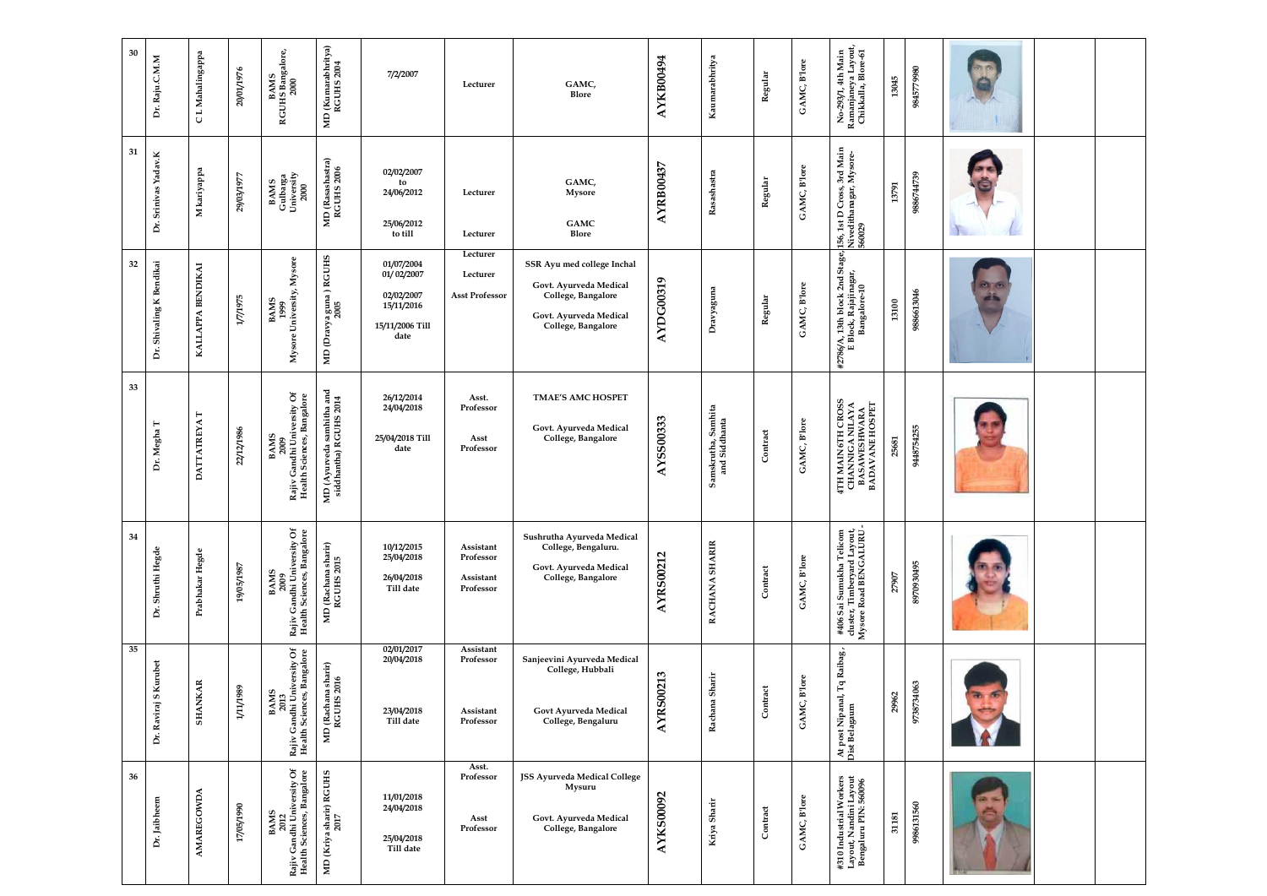| 30 | Dr. Raju.C.M.M           | C L Mahalingappa   | 20/01/1976 | <b>BAMS<br/>RGUHS Bangalore,<br/>2000</b>                                | MD (Kumarabhritya)<br>RGUHS 2004                    | 7/2/2007                                                                        | Lecturer                                         | GAMC,<br>Blore                                                                                                             | AYKB00494        | Kaumarabhritya                       | Regular  | GAMC, B'lore | No-293/1, 4th Main<br>Ramanjaneya Layout,<br>Chikkalla, Blore-61                 | 13045 | 9845779980 |  |  |
|----|--------------------------|--------------------|------------|--------------------------------------------------------------------------|-----------------------------------------------------|---------------------------------------------------------------------------------|--------------------------------------------------|----------------------------------------------------------------------------------------------------------------------------|------------------|--------------------------------------|----------|--------------|----------------------------------------------------------------------------------|-------|------------|--|--|
| 31 | Dr. Srinivas Yadav.K     | M kariyappa        | 79/03/1977 | BAMS<br>Gulbarga<br>University<br>2000                                   | MD (Rasashastra)<br>RGUHS 2006                      | 02/02/2007<br>to<br>24/06/2012<br>25/06/2012<br>to till                         | Lecturer<br>Lecturer                             | GAMC,<br><b>Mysore</b><br><b>GAMC</b><br>Blore                                                                             | <b>AYRB00437</b> | Rasashastra                          | Regular  | GAMC, B'lore | Cross, 3rd Main<br>anagar, Mysore-<br>156, 1st D (<br>Nivedithar<br>560029       | 13791 | 9886744739 |  |  |
| 32 | Dr. Shivaling K Bendikai | KALLAPPA BENDIKAI  | 1/7/1975   | BAMS<br>1999<br>Mysore University, Mysore                                | MD (Dravya guna ) RGUHS<br>2005                     | 01/07/2004<br>01/02/2007<br>02/02/2007<br>15/11/2016<br>15/11/2006 Till<br>date | Lecturer<br>Lecturer<br><b>Asst Professor</b>    | SSR Ayu med college Inchal<br>Govt. Ayurveda Medical<br>College, Bangalore<br>Govt. Ayurveda Medical<br>College, Bangalore | AYDG00319        | Dravyaguna                           | Regular  | GAMC, B'lore | #2786/A, 13th block 2nd Stage,<br>E Block, Rajajinagar,<br>Bangalore-10          | 13100 | 9886613046 |  |  |
| 33 | Dr. Megha T              | <b>DATTATREYAT</b> | 22/12/1986 | BAMS<br>2009<br>Rajiv Gandhi University Of<br>Health Sciences, Bangalore | MD (Ayurveda samhitha and<br>siddhantha) RGUHS 2014 | 26/12/2014<br>24/04/2018<br>25/04/2018 Till<br>date                             | Asst.<br>Professor<br>Asst<br>Professor          | <b>TMAE'S AMC HOSPET</b><br>Govt. Ayurveda Medical<br>College, Bangalore                                                   | <b>AYSS00333</b> | Samskrutha, Samhita<br>and Siddhanta | Contract | GAMC, B'lore | 4TH MAIN 6TH CROSS<br>CHANNIGA NILAYA<br>BASAWESHWARA<br>BADAVANE HOSPET         | 25681 | 9448754255 |  |  |
| 34 | Dr. Shruthi Hegde        | Prabhakar Hegde    | 19/05/1987 | BAMS<br>2009<br>Rajiv Gandhi University Of<br>Health Sciences, Bangalore | MD (Rachana sharir)<br>RGUHS 2015                   | 10/12/2015<br>25/04/2018<br>26/04/2018<br>Till date                             | Assistant<br>Professor<br>Assistant<br>Professor | Sushrutha Ayurveda Medical<br>College, Bengaluru.<br>Govt. Ayurveda Medical<br>College, Bangalore                          | <b>AYRS00212</b> | RACHANA SHARIR                       | Contract | GAMC, B'lore | #406 Sai Sumukha Telicom<br>cluster, Timberyard Layout,<br>Mysore Road BENGALURU | 27907 | 8970930495 |  |  |
| 35 | Dr. Raviraj S Kurubet    | <b>SHANKAR</b>     | 1/11/1989  | Rajiv Gandhi University Of<br>Health Sciences, Bangalore<br>BAMS<br>2013 | MD (Rachana sharir)<br>RGUHS 2016                   | 02/01/2017<br>20/04/2018<br>23/04/2018<br>Till date                             | Assistant<br>Professor<br>Assistant<br>Professor | Sanjeevini Ayurveda Medical<br>College, Hubbali<br>Govt Ayurveda Medical<br>College, Bengaluru                             | <b>AYRS00213</b> | Rachana Sharir                       | Contract | GAMC, B'lore | Tq Raibag,<br>At post Nipanal, T<br>Dist Belagaum                                | 29962 | 9738734063 |  |  |
| 36 | Dr. Jaibheem             | <b>AMAREGOWDA</b>  | 17/05/1990 | Rajiv Gandhi University Of<br>Health Sciences, Bangalore<br>BAMS<br>2012 | MD (Kriya sharir) RGUHS<br>2017                     | 11/01/2018<br>24/04/2018<br>25/04/2018<br>Till date                             | Asst.<br>Professor<br>Asst<br>Professor          | JSS Ayurveda Medical College<br>Mysuru<br>Govt. Ayurveda Medical<br>College, Bangalore                                     | <b>AYKS00092</b> | Kriya Sharir                         | Contract | GAMC, B'lore | #310 Industrial Workers<br>Layout, Nandini Layout<br>Bengaluru PIN: 560096       | 31181 | 9986131560 |  |  |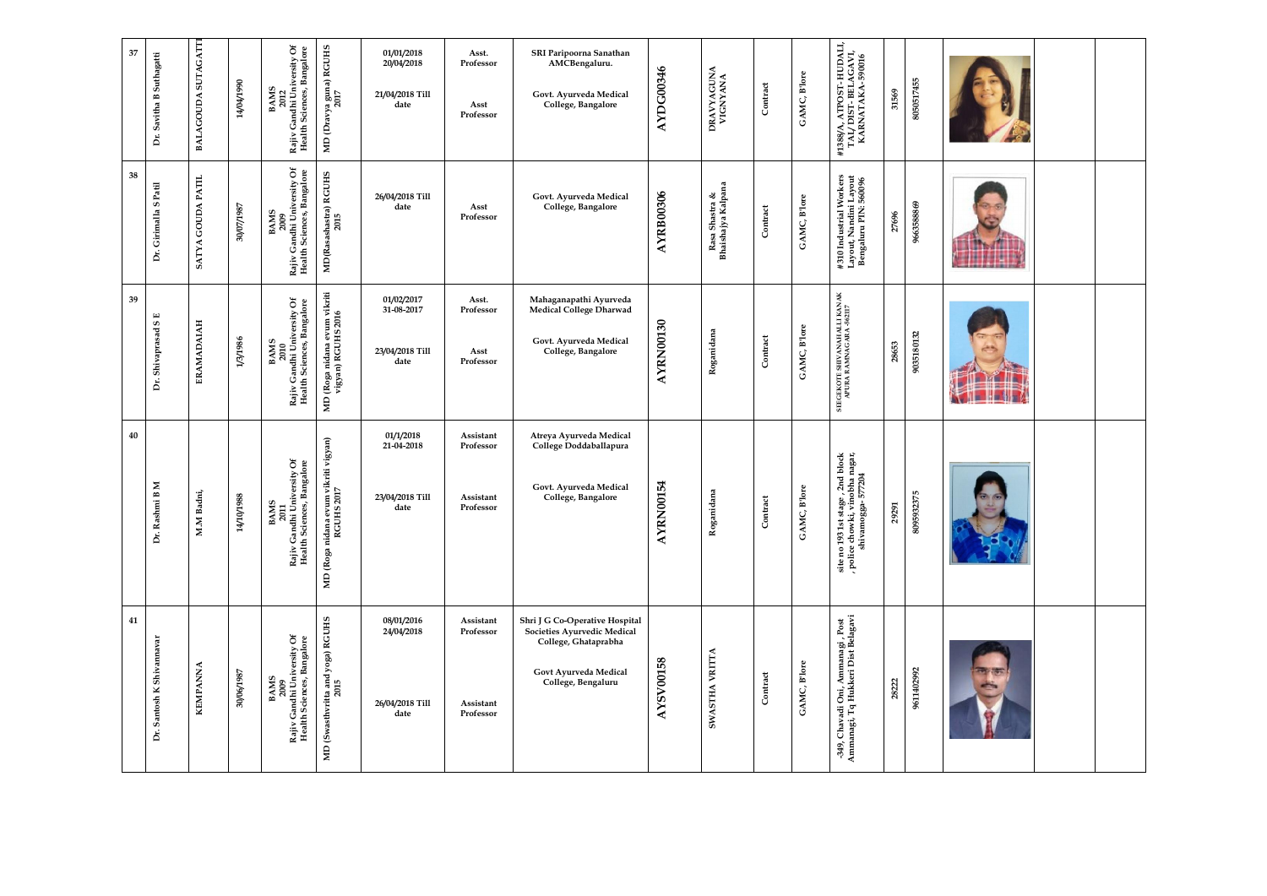| 37 | Suthagatti<br>Dr. Savitha B    | BALAGOUDA SUTAGATTI | 14/04/1990        | ð<br>BAMS<br>2012<br>Rajiv Gandhi University Of<br>Health Sciences, Bangalore   | MD (Dravya guna) RGUHS<br>2017                     | 01/01/2018<br>20/04/2018<br>21/04/2018 Till<br>date | Asst.<br>Professor<br>Asst<br>Professor          | SRI Paripoorna Sanathan<br>AMCBengaluru.<br>Govt. Ayurveda Medical<br>College, Bangalore                                             | AYDG00346             | DRAVYAGUNA<br>VIGNYANA               | Contract | GAMC, B'lore | #1388/A, ATPOST- HUDALI,<br>TAI/ DIST- BELAGAVI,<br>KARNATAKA- 590016                                          | 31569 | 8050517455      |  |  |
|----|--------------------------------|---------------------|-------------------|---------------------------------------------------------------------------------|----------------------------------------------------|-----------------------------------------------------|--------------------------------------------------|--------------------------------------------------------------------------------------------------------------------------------------|-----------------------|--------------------------------------|----------|--------------|----------------------------------------------------------------------------------------------------------------|-------|-----------------|--|--|
| 38 | S Patil<br>Dr. Girimalla       | SATYA GOUDA PATIL   | <b>7861/20/08</b> | BAMS<br>2009<br>Rajiv Gandhi University Of<br>Health Sciences, Bangalore        | MD(Rasashastra) RGUHS<br>2015                      | 26/04/2018 Till<br>date                             | Asst<br>Professor                                | Govt. Ayurveda Medical<br>College, Bangalore                                                                                         | <b>AYRB00306</b>      | Rasa Shastra &<br>Bhaishajya Kalpana | Contract | GAMC, Blore  | #310 Industrial Workers<br>Layout, Nandini Layout<br>Bengaluru PIN: 560096                                     | 27696 | 9663588869      |  |  |
| 39 | ${\bf S}$ E<br>Dr. Shivaprasad | ERAMADAIAH          | 1/3/1986          | 2010<br>Rajiv Gandhi University Of<br>Health Sciences, Bangalore<br><b>BAMS</b> | MD (Roga nidana evum vikriti<br>vigyan) RGUHS 2016 | 01/02/2017<br>31-08-2017<br>23/04/2018 Till<br>date | Asst.<br>Professor<br>Asst<br>Professor          | Mahaganapathi Ayurveda<br>Medical College Dharwad<br>Govt. Ayurveda Medical<br>College, Bangalore                                    | AYRN00130             | Roganidana                           | Contract | GAMC, Blore  | SEEGEKOTE SHIVANAHALLI KANAK<br>APURA RAMNAGARA -562117                                                        | 28653 | 9035180132      |  |  |
| 40 | uni B M<br>Dr. Rash            | M.M Badni,          | 8861/01/17        | BAMS<br>2011<br>Rajiv Gandhi University Of<br>Health Sciences, Bangalore        | MD (Roga nidana evum vikriti vigyan)<br>RGUHS 2017 | 01/1/2018<br>21-04-2018<br>23/04/2018 Till<br>date  | Assistant<br>Professor<br>Assistant<br>Professor | Atreya Ayurveda Medical<br>College Doddaballapura<br>Govt. Ayurveda Medical<br>College, Bangalore                                    | 100154<br><b>AYRN</b> | idana<br>Rogani                      | Contract | GAMC, B'lore | stage , 2nd block<br>, vinobha nagar,<br>;ga- 577204<br>site no 193 1st sta<br>, police chowki, v<br>shivamogg | 29291 | 32375<br>809590 |  |  |
| 41 | Dr. Santosh K Shivannavar      | <b>KEMPANNA</b>     | 7861990/06        | BAMS<br>2009<br>Rajiv Gandhi University Of<br>Health Sciences, Bangalore        | MD (Swasthvritta and yoga) RGUHS<br>2015           | 08/01/2016<br>24/04/2018<br>26/04/2018 Till<br>date | Assistant<br>Professor<br>Assistant<br>Professor | Shri J G Co-Operative Hospital<br>Societies Ayurvedic Medical<br>College, Ghataprabha<br>Govt Ayurveda Medical<br>College, Bengaluru | <b>AYSV00158</b>      | <b>VRITTA</b><br><b>SWASTHA</b>      | Contract | GAMC, B'lore | -349, Chavadi Oni, Ammanagi, Post<br>Ammanagi, Tq Hukkeri Dist Belagavi                                        | 28222 | 9611402992      |  |  |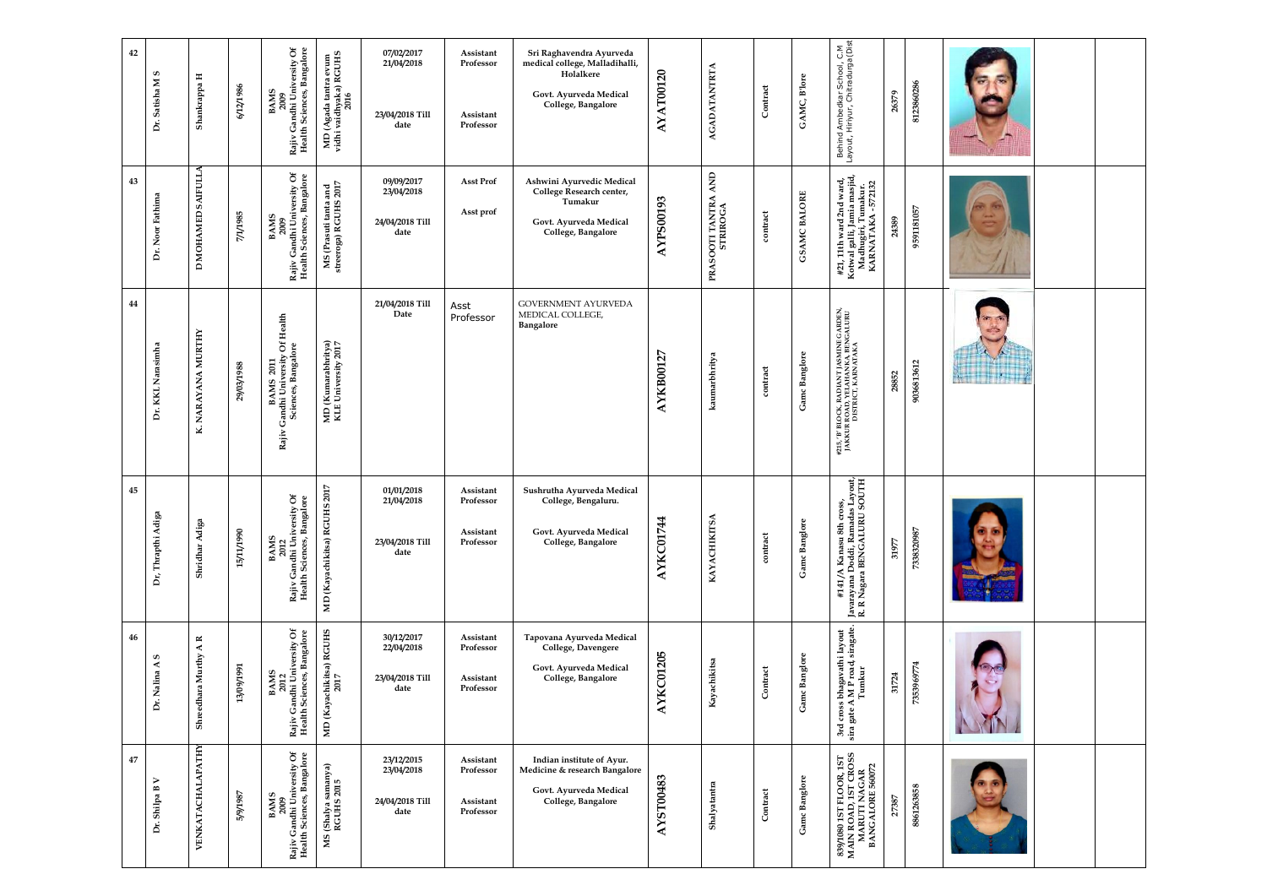| 42<br>Dr. Satisha M S    | Shankrappa H                             | 6/12/1986  | BAMS<br>2009<br>Rajiv Gandhi University Of<br>Health Sciences, Bangalore                                                | MD (Agada tantra evum<br>vidhi vaidhyaka) RGUHS<br>2016 | 07/02/2017<br>21/04/2018<br>23/04/2018 Till<br>date | Assistant<br>Professor<br>Assistant<br>Professor | Sri Raghavendra Ayurveda<br>medical college, Malladihalli,<br>Holalkere<br>Govt. Ayurveda Medical<br>College, Bangalore | AYAT00120        | <b>AGADATANTRTA</b>                                             | Contract                     | GAMC, B'lore        | Behind Ambedkar School, C.M<br>Layout, Hiriyur, Chitradurga(Dist                                                   | 8123860286<br>26379 |                   |  |
|--------------------------|------------------------------------------|------------|-------------------------------------------------------------------------------------------------------------------------|---------------------------------------------------------|-----------------------------------------------------|--------------------------------------------------|-------------------------------------------------------------------------------------------------------------------------|------------------|-----------------------------------------------------------------|------------------------------|---------------------|--------------------------------------------------------------------------------------------------------------------|---------------------|-------------------|--|
| 43<br>Dr. Noor Fathima   | MOHAMED SAIFULLA<br>$\qquad \qquad \Box$ | 7/1/1985   | Rajiv Gandhi University Of<br>Health Sciences, Bangalore<br><b>BAMS</b><br>2009                                         | MS (Prasuti tanta and<br>streeroga) RGUHS 2017          | 09/09/2017<br>23/04/2018<br>24/04/2018 Till<br>date | <b>Asst Prof</b><br>Asst prof                    | Ashwini Ayurvedic Medical<br>College Research center,<br>Tumakur<br>Govt. Ayurveda Medical<br>College, Bangalore        | <b>AYPS00193</b> | $\mathbf{A}\mathbf{N}\mathbf{D}$<br>PRASOOTI TANTRA<br>STRIROGA | contract                     | <b>GSAMC BALORE</b> | #21, 11th ward 2nd ward,<br>Kotwal galli, Jamia masjid,<br>Madhugiri, Tumakur.<br>KARNATAKA - 572132               | 9591181057<br>24389 |                   |  |
| 44<br>Dr. KKL Narasimha  | NARAYANA MURTHY<br>K.                    | 29/03/1988 | Of Health<br>BAMS 2011<br>Candhi University Of<br>Sciences, Bangalore<br>Rajiv                                          | MD (Kumarabhritya)<br>KLE University 2017               | 21/04/2018 Till<br>Date                             | Asst<br>Professor                                | GOVERNMENT AYURVEDA<br>MEDICAL COLLEGE,<br>Bangalore                                                                    | <b>AYKB00127</b> | kaumarbhritya                                                   | contract                     | Gamc Banglore       | #215, 'B' BLOCK, RADIANT JASMINE GARDEN,<br>JAKKUR ROAD, YELAHANKA, BENGALURU<br>DISTRICT, KARNATAKA<br>28852      | 9036813612          | Station of the la |  |
| 45<br>Dr, Thrapthi Adiga | Shridhar Adiga                           | 15/11/1990 | BAMS<br>2012<br>Rajiv Gandhi University Of<br>Health Sciences, Bangalore                                                | IS 2017<br>MD (Kayachikitsa) RGUH                       | 01/01/2018<br>21/04/2018<br>23/04/2018 Till<br>date | Assistant<br>Professor<br>Assistant<br>Professor | Sushrutha Ayurveda Medical<br>College, Bengaluru.<br>Govt. Ayurveda Medical<br>College, Bangalore                       | AYKC01744        | KAYACHIKITSA                                                    | $\mathop{\mathrm{contrast}}$ | Gamc Banglore       | s Layout,<br>SOUTH<br>iSS,<br>#141/A Kanasu 8th cros<br> <br> avarayana Doddi, Ramadas<br> R. R Nagara BENGALURU 5 | 7338320987<br>31977 |                   |  |
| 46<br>S<br>Dr. Nalina A  | Shreedhara Murthy A R                    | 13/09/1991 | $\mathfrak{S}% _{A}^{\ast}(\mathbb{R}^{2})$<br>BAMS<br>2012<br>Rajiv Gandhi University Of<br>Health Sciences, Bangalore | MD (Kayachikitsa) RGUHS<br>2017                         | 30/12/2017<br>22/04/2018<br>23/04/2018 Till<br>date | Assistant<br>Professor<br>Assistant<br>Professor | Tapovana Ayurveda Medical<br>College, Davengere<br>Govt. Ayurveda Medical<br>College, Bangalore                         | AYKC01205        | Kayachikitsa                                                    | Contract                     | Gamc Banglore       | 3rd cross bhagavathi layout<br>sira gate A M P road, siragate.<br>Tumkur                                           | 7353969774<br>31724 |                   |  |
| 47<br>Dr. Shilpa B V     | <b>VENKATACHALAPATHY</b>                 | 5/9/1987   | BAMS<br>2009<br>Rajiv Gandhi University Of<br>Health Sciences, Bangalore                                                | MS (Shalya samanya)<br>RGUHS 2015                       | 23/12/2015<br>23/04/2018<br>24/04/2018 Till<br>date | Assistant<br>Professor<br>Assistant<br>Professor | Indian institute of Ayur.<br>Medicine & research Bangalore<br>Govt. Ayurveda Medical<br>College, Bangalore              | <b>AYST00483</b> | Shalyatantra                                                    | ${\bf Contract}$             | Gamc Banglore       | 899/1080 1ST FLOOR, 1ST<br>MAIN ROAD, 1ST CROSS<br>MARUTI NAGAR<br>BANGALORE 560072                                | 8861263858<br>27387 |                   |  |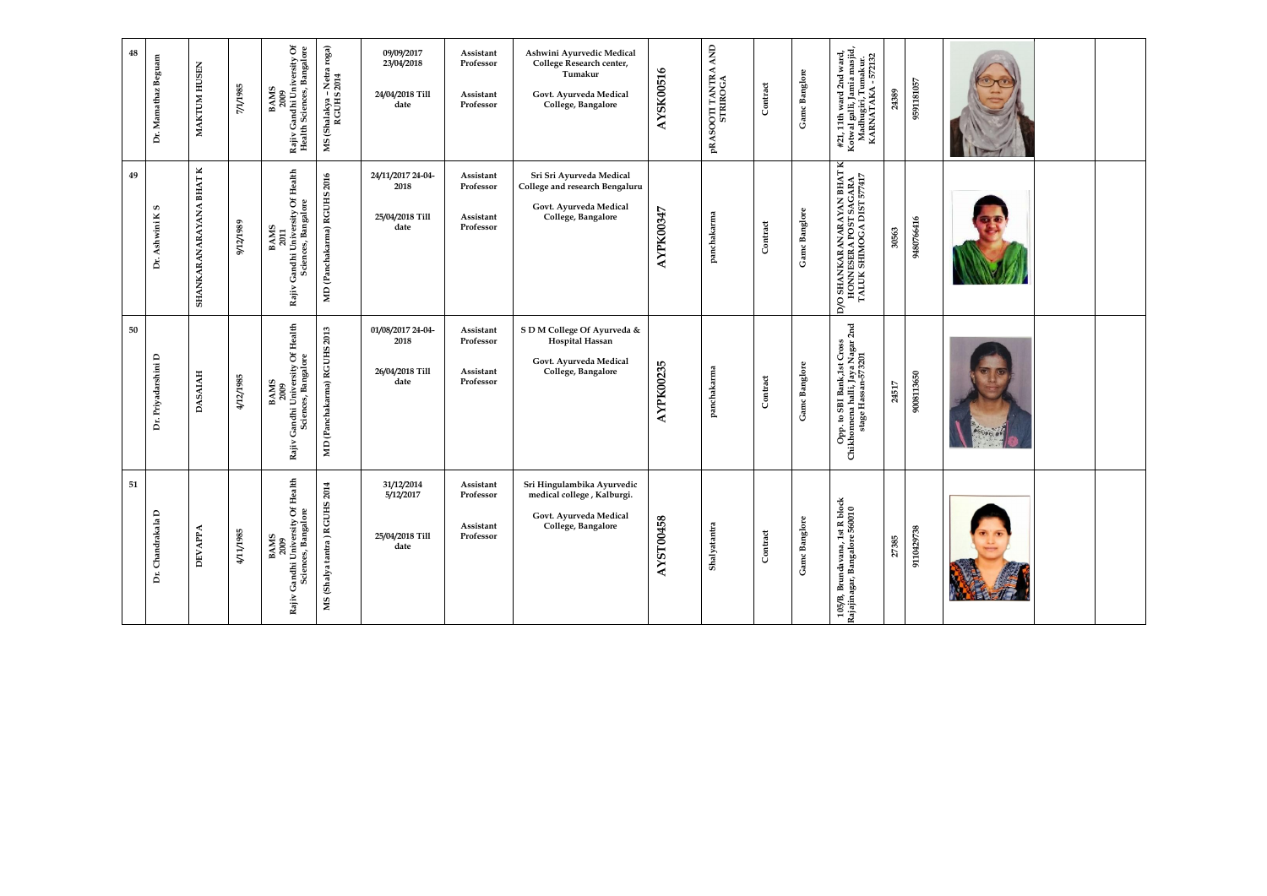| 48 | Dr. Mamathaz Beguam | MAKTUM HUSEN            | <b>S86L/L/L</b> | BAMS<br>2009<br>Rajiv Gandhi University Of<br>Health Sciences, Bangalore           | MS (Shalakya - Netra roga)<br>RGUHS 2014              | 09/09/2017<br>23/04/2018<br>24/04/2018 Till<br>date  | Assistant<br>Professor<br>Assistant<br>Professor | Ashwini Ayurvedic Medical<br>College Research center,<br>Tumakur<br>Govt. Ayurveda Medical<br>College, Bangalore | AYSK00516        | AND<br><b>pRASOOTI TANTRA</b><br>STRIROGA | Contract | Gamc Banglore | #21, 11th ward 2nd ward,<br>Kotwal galli, Jamia masjid,<br>Madhugiri, Tumakur.<br>KARNATAKA - 572132 | 24389 | 9591181057 |  |  |
|----|---------------------|-------------------------|-----------------|------------------------------------------------------------------------------------|-------------------------------------------------------|------------------------------------------------------|--------------------------------------------------|------------------------------------------------------------------------------------------------------------------|------------------|-------------------------------------------|----------|---------------|------------------------------------------------------------------------------------------------------|-------|------------|--|--|
| 49 | Dr. Ashwini K S     | SHANKARANARAYANA BHAT K | 6861/21/6       | Of Health<br>Sciences, Bangalore<br>BAMS<br>2011<br>Rajiv Gandhi University C      | MD (Panchakarma) RGUHS 2016                           | 24/11/2017 24-04-<br>2018<br>25/04/2018 Till<br>date | Assistant<br>Professor<br>Assistant<br>Professor | Sri Sri Ayurveda Medical<br>College and research Bengaluru<br>Govt. Ayurveda Medical<br>College, Bangalore       | <b>AYPK00347</b> | panchakarma                               | Contract | Gamc Banglore | D/O SHANKARANARAYAN BHAT K<br>HONNESERA POST SAGARA<br>TALUK SHIMOGA DIST 577417                     | 30563 | 9480766416 |  |  |
| 50 | Dr. Priyadarshini D | <b>DASAIAH</b>          | 4/12/1985       | Gandhi University Of Health<br>Sciences, Bangalore<br><b>BAMS</b><br>2009<br>Rajiv | 2013<br>(Panchakarma) RGUHS<br>$\mathbf{M}\mathbf{D}$ | 01/08/2017 24-04-<br>2018<br>26/04/2018 Till<br>date | Assistant<br>Professor<br>Assistant<br>Professor | S D M College Of Ayurveda &<br>Hospital Hassan<br>Govt. Ayurveda Medical<br>College, Bangalore                   | <b>AYPK00235</b> | panchakarma                               | Contract | Gamc Banglore | $2nd$<br>Opp. to SBI Bank,1st Cross<br>Chikhomena halli, Jaya Nagar<br>stage Hassan-573201           | 24517 | 9008113650 |  |  |
| 51 | Dr. Chandrakala L   | <b>DEVAPPA</b>          | 4/11/1985       | BAMS<br>2009<br>v Gandhi University Of Health<br>Sciences, Bangalore<br>Rajiv      | HS 2014<br>(Shalya tantra) RGUI<br>NS                 | 31/12/2014<br>5/12/2017<br>25/04/2018 Till<br>date   | Assistant<br>Professor<br>Assistant<br>Professor | Sri Hingulambika Ayurvedic<br>medical college, Kalburgi.<br>Govt. Ayurveda Medical<br>College, Bangalore         | <b>AYST00458</b> | Shalyatantra                              | Contract | Gamc Banglore | $\frac{d}{d}$<br>105/B, Brundavana, 1st R bl<br>Rajajinagar, Bangalore 56001                         | 27385 | 9110429738 |  |  |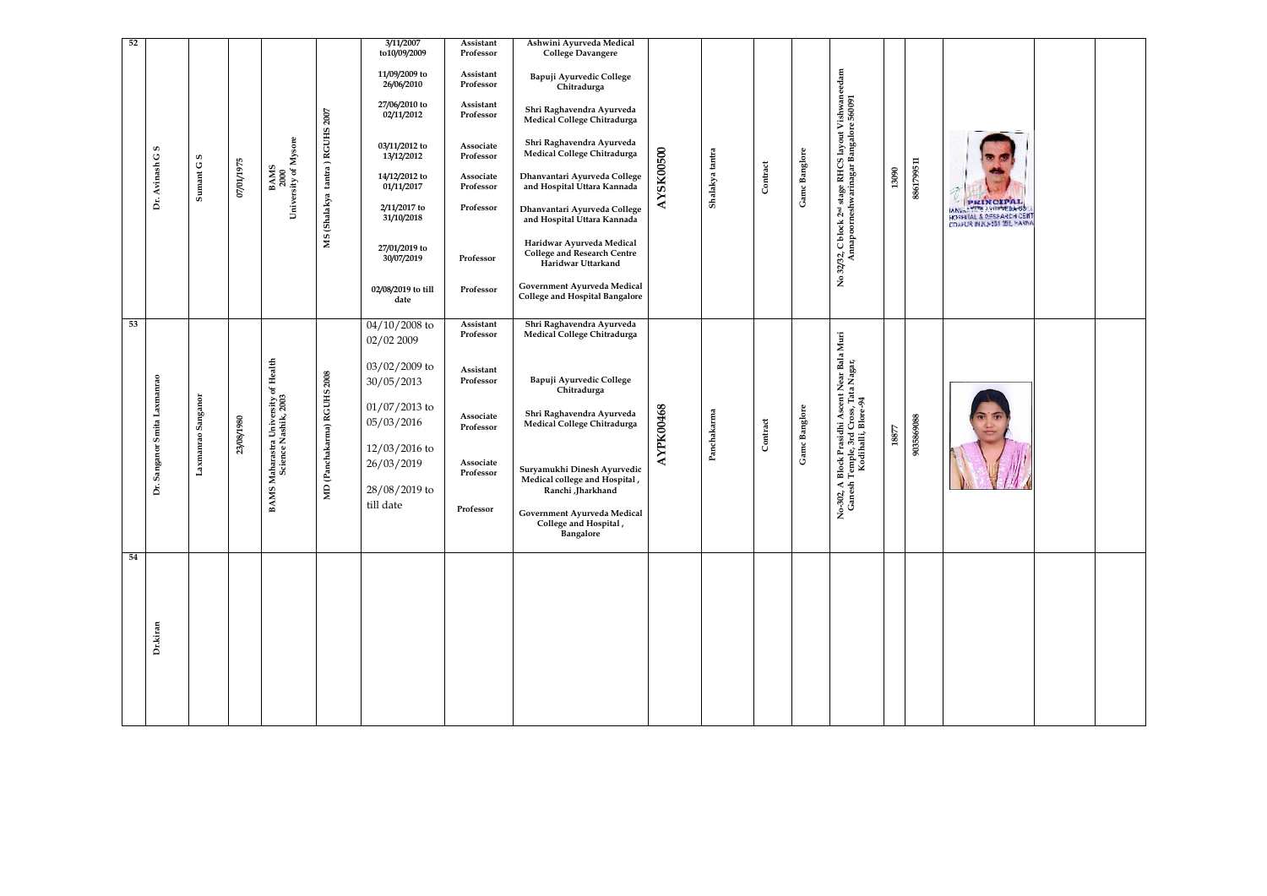| 3/11/2007<br>Ashwini Ayurveda Medical<br>Assistant<br>to10/09/2009<br>Professor<br><b>College Davangere</b><br>32, C block 2¤4 stage RHCS 1ayout Vishwaneedam<br>Annapoorneshwarinagar Bangalore 560091<br>11/09/2009 to<br>Assistant<br>Bapuji Ayurvedic College<br>26/06/2010<br>Professor<br>Chitradurga<br>27/06/2010 to<br>Assistant<br>Shri Raghavendra Ayurveda<br>2007<br>02/11/2012<br>Professor<br>Medical College Chitradurga<br>MS (Shalakya tantra) RGUHS<br>BAMS<br>2000<br>University of Mysore<br>Shri Raghavendra Ayurveda<br>03/11/2012 to<br>Associate<br>S<br>AYSK00500<br>Gamc Banglore<br>Shalakya tantra<br>Medical College Chitradurga<br>Dr. Avinash G<br>13/12/2012<br>Professor<br>$\pmb{\mathsf{c}}$<br>8861799511<br><b>6261/10/20</b><br>Contract<br>Sumant G!<br>13090<br>Dhanvantari Ayurveda College<br>14/12/2012 to<br>Associate<br>and Hospital Uttara Kannada<br>01/11/2017<br>Professor<br>PRINCIPAL<br>2/11/2017 to<br>Professor<br>Dhanvantari Ayurveda College<br><b>HOSPITAL &amp; RESPARCH CENT</b><br>31/10/2018<br>and Hospital Uttara Kannada<br>Haridwar Ayurveda Medical<br>27/01/2019 to<br>College and Research Centre<br>No 32/32,<br>30/07/2019<br>Professor<br>Haridwar Uttarkand<br>Government Ayurveda Medical<br>02/08/2019 to till<br>Professor<br><b>College and Hospital Bangalore</b><br>date<br>Shri Raghavendra Ayurveda<br>$04/10/2008$ to<br>Assistant<br>Medical College Chitradurga<br>Professor<br>o-302, A Block Prasidhi Ascent Near Bala Muri<br>Ganesh Temple, 3rd Cross, Tata Nagar,<br>Kodihalli, Blore-94<br>02/02 2009<br>BAMS Maharastra University of Health<br>Science Nashik, 2003<br>03/02/2009 to<br>Assistant<br>(Panchakarma) RGUHS 2008<br>Dr. Sanganor Smita Laxmanrao<br>Bapuji Ayurvedic College<br>Professor<br>30/05/2013<br>Chitradurga<br>Laxmanrao Sanganor<br>$01/07/2013$ to<br><b>AYPK00468</b><br>Gamc Banglore<br>Shri Raghavendra Ayurveda<br>Panchakarma<br>Associate<br>9035869088<br>23/08/1980<br>Contract<br>05/03/2016<br>Medical College Chitradurga<br>Professor<br>$18877$<br>12/03/2016 to<br>26/03/2019<br>Associate<br>Suryamukhi Dinesh Ayurvedic<br>Professor<br>Medical college and Hospital,<br>$\mathbf{H}$<br>28/08/2019 to<br>Ranchi Jharkhand<br>till date<br>Professor<br>Government Ayurveda Medical<br>Z<br>College and Hospital,<br>Bangalore | 54 | 53 |  |  | 52 |
|-------------------------------------------------------------------------------------------------------------------------------------------------------------------------------------------------------------------------------------------------------------------------------------------------------------------------------------------------------------------------------------------------------------------------------------------------------------------------------------------------------------------------------------------------------------------------------------------------------------------------------------------------------------------------------------------------------------------------------------------------------------------------------------------------------------------------------------------------------------------------------------------------------------------------------------------------------------------------------------------------------------------------------------------------------------------------------------------------------------------------------------------------------------------------------------------------------------------------------------------------------------------------------------------------------------------------------------------------------------------------------------------------------------------------------------------------------------------------------------------------------------------------------------------------------------------------------------------------------------------------------------------------------------------------------------------------------------------------------------------------------------------------------------------------------------------------------------------------------------------------------------------------------------------------------------------------------------------------------------------------------------------------------------------------------------------------------------------------------------------------------------------------------------------------------------------------------------------------------------------------------------------------------------------------------------------------------------------------------------------------|----|----|--|--|----|
|                                                                                                                                                                                                                                                                                                                                                                                                                                                                                                                                                                                                                                                                                                                                                                                                                                                                                                                                                                                                                                                                                                                                                                                                                                                                                                                                                                                                                                                                                                                                                                                                                                                                                                                                                                                                                                                                                                                                                                                                                                                                                                                                                                                                                                                                                                                                                                         |    |    |  |  |    |
|                                                                                                                                                                                                                                                                                                                                                                                                                                                                                                                                                                                                                                                                                                                                                                                                                                                                                                                                                                                                                                                                                                                                                                                                                                                                                                                                                                                                                                                                                                                                                                                                                                                                                                                                                                                                                                                                                                                                                                                                                                                                                                                                                                                                                                                                                                                                                                         |    |    |  |  |    |
|                                                                                                                                                                                                                                                                                                                                                                                                                                                                                                                                                                                                                                                                                                                                                                                                                                                                                                                                                                                                                                                                                                                                                                                                                                                                                                                                                                                                                                                                                                                                                                                                                                                                                                                                                                                                                                                                                                                                                                                                                                                                                                                                                                                                                                                                                                                                                                         |    |    |  |  |    |
|                                                                                                                                                                                                                                                                                                                                                                                                                                                                                                                                                                                                                                                                                                                                                                                                                                                                                                                                                                                                                                                                                                                                                                                                                                                                                                                                                                                                                                                                                                                                                                                                                                                                                                                                                                                                                                                                                                                                                                                                                                                                                                                                                                                                                                                                                                                                                                         |    |    |  |  |    |
|                                                                                                                                                                                                                                                                                                                                                                                                                                                                                                                                                                                                                                                                                                                                                                                                                                                                                                                                                                                                                                                                                                                                                                                                                                                                                                                                                                                                                                                                                                                                                                                                                                                                                                                                                                                                                                                                                                                                                                                                                                                                                                                                                                                                                                                                                                                                                                         |    |    |  |  |    |
|                                                                                                                                                                                                                                                                                                                                                                                                                                                                                                                                                                                                                                                                                                                                                                                                                                                                                                                                                                                                                                                                                                                                                                                                                                                                                                                                                                                                                                                                                                                                                                                                                                                                                                                                                                                                                                                                                                                                                                                                                                                                                                                                                                                                                                                                                                                                                                         |    |    |  |  |    |
|                                                                                                                                                                                                                                                                                                                                                                                                                                                                                                                                                                                                                                                                                                                                                                                                                                                                                                                                                                                                                                                                                                                                                                                                                                                                                                                                                                                                                                                                                                                                                                                                                                                                                                                                                                                                                                                                                                                                                                                                                                                                                                                                                                                                                                                                                                                                                                         |    |    |  |  |    |
|                                                                                                                                                                                                                                                                                                                                                                                                                                                                                                                                                                                                                                                                                                                                                                                                                                                                                                                                                                                                                                                                                                                                                                                                                                                                                                                                                                                                                                                                                                                                                                                                                                                                                                                                                                                                                                                                                                                                                                                                                                                                                                                                                                                                                                                                                                                                                                         |    |    |  |  |    |
|                                                                                                                                                                                                                                                                                                                                                                                                                                                                                                                                                                                                                                                                                                                                                                                                                                                                                                                                                                                                                                                                                                                                                                                                                                                                                                                                                                                                                                                                                                                                                                                                                                                                                                                                                                                                                                                                                                                                                                                                                                                                                                                                                                                                                                                                                                                                                                         |    |    |  |  |    |
|                                                                                                                                                                                                                                                                                                                                                                                                                                                                                                                                                                                                                                                                                                                                                                                                                                                                                                                                                                                                                                                                                                                                                                                                                                                                                                                                                                                                                                                                                                                                                                                                                                                                                                                                                                                                                                                                                                                                                                                                                                                                                                                                                                                                                                                                                                                                                                         |    |    |  |  |    |
|                                                                                                                                                                                                                                                                                                                                                                                                                                                                                                                                                                                                                                                                                                                                                                                                                                                                                                                                                                                                                                                                                                                                                                                                                                                                                                                                                                                                                                                                                                                                                                                                                                                                                                                                                                                                                                                                                                                                                                                                                                                                                                                                                                                                                                                                                                                                                                         |    |    |  |  |    |
|                                                                                                                                                                                                                                                                                                                                                                                                                                                                                                                                                                                                                                                                                                                                                                                                                                                                                                                                                                                                                                                                                                                                                                                                                                                                                                                                                                                                                                                                                                                                                                                                                                                                                                                                                                                                                                                                                                                                                                                                                                                                                                                                                                                                                                                                                                                                                                         |    |    |  |  |    |
|                                                                                                                                                                                                                                                                                                                                                                                                                                                                                                                                                                                                                                                                                                                                                                                                                                                                                                                                                                                                                                                                                                                                                                                                                                                                                                                                                                                                                                                                                                                                                                                                                                                                                                                                                                                                                                                                                                                                                                                                                                                                                                                                                                                                                                                                                                                                                                         |    |    |  |  |    |
|                                                                                                                                                                                                                                                                                                                                                                                                                                                                                                                                                                                                                                                                                                                                                                                                                                                                                                                                                                                                                                                                                                                                                                                                                                                                                                                                                                                                                                                                                                                                                                                                                                                                                                                                                                                                                                                                                                                                                                                                                                                                                                                                                                                                                                                                                                                                                                         |    |    |  |  |    |
|                                                                                                                                                                                                                                                                                                                                                                                                                                                                                                                                                                                                                                                                                                                                                                                                                                                                                                                                                                                                                                                                                                                                                                                                                                                                                                                                                                                                                                                                                                                                                                                                                                                                                                                                                                                                                                                                                                                                                                                                                                                                                                                                                                                                                                                                                                                                                                         |    |    |  |  |    |
|                                                                                                                                                                                                                                                                                                                                                                                                                                                                                                                                                                                                                                                                                                                                                                                                                                                                                                                                                                                                                                                                                                                                                                                                                                                                                                                                                                                                                                                                                                                                                                                                                                                                                                                                                                                                                                                                                                                                                                                                                                                                                                                                                                                                                                                                                                                                                                         |    |    |  |  |    |
|                                                                                                                                                                                                                                                                                                                                                                                                                                                                                                                                                                                                                                                                                                                                                                                                                                                                                                                                                                                                                                                                                                                                                                                                                                                                                                                                                                                                                                                                                                                                                                                                                                                                                                                                                                                                                                                                                                                                                                                                                                                                                                                                                                                                                                                                                                                                                                         |    |    |  |  |    |